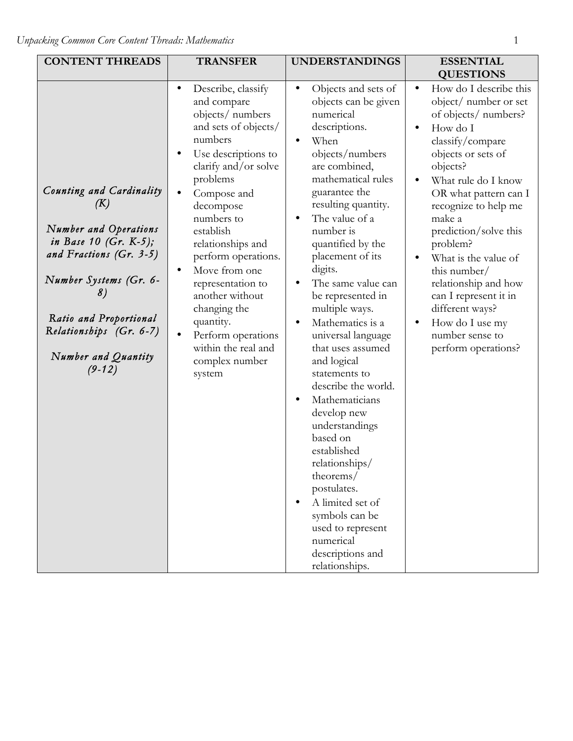| <b>CONTENT THREADS</b>                                                                                                                                                                                                                  | <b>TRANSFER</b>                                                                                                                                                                                                                                                                                                                                                                                                                    | <b>UNDERSTANDINGS</b>                                                                                                                                                                                                                                                                                                                                                                                                                                                                                                                                                                                                                                                                                                         | <b>ESSENTIAL</b><br><b>QUESTIONS</b>                                                                                                                                                                                                                                                                                                                                                                                                                                |
|-----------------------------------------------------------------------------------------------------------------------------------------------------------------------------------------------------------------------------------------|------------------------------------------------------------------------------------------------------------------------------------------------------------------------------------------------------------------------------------------------------------------------------------------------------------------------------------------------------------------------------------------------------------------------------------|-------------------------------------------------------------------------------------------------------------------------------------------------------------------------------------------------------------------------------------------------------------------------------------------------------------------------------------------------------------------------------------------------------------------------------------------------------------------------------------------------------------------------------------------------------------------------------------------------------------------------------------------------------------------------------------------------------------------------------|---------------------------------------------------------------------------------------------------------------------------------------------------------------------------------------------------------------------------------------------------------------------------------------------------------------------------------------------------------------------------------------------------------------------------------------------------------------------|
| Counting and Cardinality<br>(K)<br>Number and Operations<br>in Base 10 (Gr. $K-5$ );<br>and Fractions (Gr. 3-5)<br>Number Systems (Gr. 6-<br>8)<br>Ratio and Proportional<br>Relationships (Gr. 6-7)<br>Number and Quantity<br>$(9-12)$ | Describe, classify<br>$\bullet$<br>and compare<br>objects/ numbers<br>and sets of objects/<br>numbers<br>Use descriptions to<br>clarify and/or solve<br>problems<br>Compose and<br>decompose<br>numbers to<br>establish<br>relationships and<br>perform operations.<br>Move from one<br>representation to<br>another without<br>changing the<br>quantity.<br>Perform operations<br>within the real and<br>complex number<br>system | Objects and sets of<br>$\bullet$<br>objects can be given<br>numerical<br>descriptions.<br>When<br>objects/numbers<br>are combined,<br>mathematical rules<br>guarantee the<br>resulting quantity.<br>The value of a<br>$\bullet$<br>number is<br>quantified by the<br>placement of its<br>digits.<br>The same value can<br>be represented in<br>multiple ways.<br>Mathematics is a<br>universal language<br>that uses assumed<br>and logical<br>statements to<br>describe the world.<br>Mathematicians<br>develop new<br>understandings<br>based on<br>established<br>relationships/<br>theorems/<br>postulates.<br>A limited set of<br>symbols can be<br>used to represent<br>numerical<br>descriptions and<br>relationships. | How do I describe this<br>$\bullet$<br>object/ number or set<br>of objects/ numbers?<br>How do I<br>$\bullet$<br>classify/compare<br>objects or sets of<br>objects?<br>What rule do I know<br>OR what pattern can I<br>recognize to help me<br>make a<br>prediction/solve this<br>problem?<br>What is the value of<br>this number/<br>relationship and how<br>can I represent it in<br>different ways?<br>How do I use my<br>number sense to<br>perform operations? |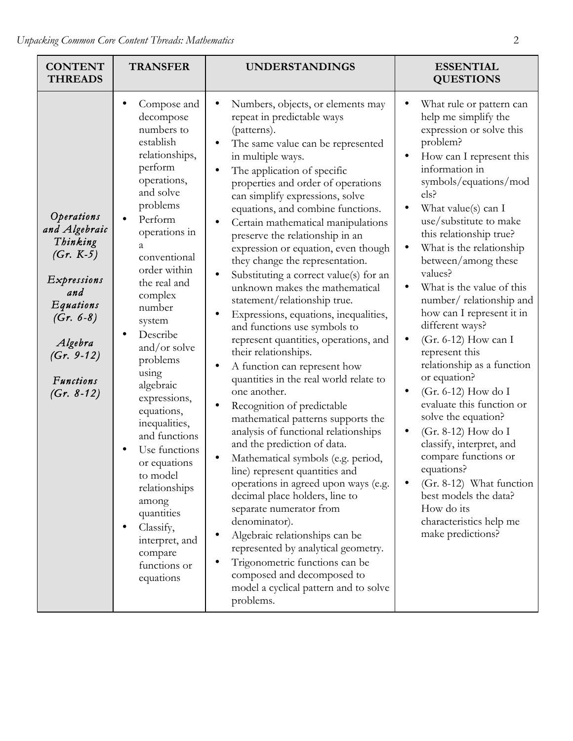| <b>CONTENT</b><br><b>THREADS</b>                                                                                                                                        | <b>TRANSFER</b>                                                                                                                                                                                                                                                                                                                                                                                                                                                                                                                              | <b>UNDERSTANDINGS</b>                                                                                                                                                                                                                                                                                                                                                                                                                                                                                                                                                                                                                                                                                                                                                                                                                                                                                                                                                                                                                                                                                                                                                                                                                                                                                                            | <b>ESSENTIAL</b><br><b>QUESTIONS</b>                                                                                                                                                                                                                                                                                                                                                                                                                                                                                                                                                                                                                                                                                                                                                                                                                                        |
|-------------------------------------------------------------------------------------------------------------------------------------------------------------------------|----------------------------------------------------------------------------------------------------------------------------------------------------------------------------------------------------------------------------------------------------------------------------------------------------------------------------------------------------------------------------------------------------------------------------------------------------------------------------------------------------------------------------------------------|----------------------------------------------------------------------------------------------------------------------------------------------------------------------------------------------------------------------------------------------------------------------------------------------------------------------------------------------------------------------------------------------------------------------------------------------------------------------------------------------------------------------------------------------------------------------------------------------------------------------------------------------------------------------------------------------------------------------------------------------------------------------------------------------------------------------------------------------------------------------------------------------------------------------------------------------------------------------------------------------------------------------------------------------------------------------------------------------------------------------------------------------------------------------------------------------------------------------------------------------------------------------------------------------------------------------------------|-----------------------------------------------------------------------------------------------------------------------------------------------------------------------------------------------------------------------------------------------------------------------------------------------------------------------------------------------------------------------------------------------------------------------------------------------------------------------------------------------------------------------------------------------------------------------------------------------------------------------------------------------------------------------------------------------------------------------------------------------------------------------------------------------------------------------------------------------------------------------------|
| Operations<br>and Algebraic<br>Thinking<br>$(Gr. K-5)$<br>Expressions<br>and<br>Equations<br>$(Gr. 6-8)$<br>Algebra<br>$(Gr. 9-12)$<br><b>Functions</b><br>$(Gr. 8-12)$ | Compose and<br>٠<br>decompose<br>numbers to<br>establish<br>relationships,<br>perform<br>operations,<br>and solve<br>problems<br>Perform<br>operations in<br>a<br>conventional<br>order within<br>the real and<br>complex<br>number<br>system<br>Describe<br>and/or solve<br>problems<br>using<br>algebraic<br>expressions,<br>equations,<br>inequalities,<br>and functions<br>Use functions<br>or equations<br>to model<br>relationships<br>among<br>quantities<br>Classify,<br>٠<br>interpret, and<br>compare<br>functions or<br>equations | Numbers, objects, or elements may<br>repeat in predictable ways<br>(patterns).<br>The same value can be represented<br>in multiple ways.<br>The application of specific<br>properties and order of operations<br>can simplify expressions, solve<br>equations, and combine functions.<br>Certain mathematical manipulations<br>preserve the relationship in an<br>expression or equation, even though<br>they change the representation.<br>Substituting a correct value(s) for an<br>unknown makes the mathematical<br>statement/relationship true.<br>Expressions, equations, inequalities,<br>and functions use symbols to<br>represent quantities, operations, and<br>their relationships.<br>A function can represent how<br>quantities in the real world relate to<br>one another.<br>Recognition of predictable<br>mathematical patterns supports the<br>analysis of functional relationships<br>and the prediction of data.<br>Mathematical symbols (e.g. period,<br>line) represent quantities and<br>operations in agreed upon ways (e.g.<br>decimal place holders, line to<br>separate numerator from<br>denominator).<br>Algebraic relationships can be<br>represented by analytical geometry.<br>Trigonometric functions can be<br>composed and decomposed to<br>model a cyclical pattern and to solve<br>problems. | What rule or pattern can<br>help me simplify the<br>expression or solve this<br>problem?<br>How can I represent this<br>$\bullet$<br>information in<br>symbols/equations/mod<br>els?<br>What value(s) can I<br>use/substitute to make<br>this relationship true?<br>What is the relationship<br>$\bullet$<br>between/among these<br>values?<br>What is the value of this<br>number/relationship and<br>how can I represent it in<br>different ways?<br>(Gr. 6-12) How can I<br>$\bullet$<br>represent this<br>relationship as a function<br>or equation?<br>(Gr. 6-12) How do I<br>$\bullet$<br>evaluate this function or<br>solve the equation?<br>$(Gr. 8-12)$ How do I<br>$\bullet$<br>classify, interpret, and<br>compare functions or<br>equations?<br>(Gr. 8-12) What function<br>best models the data?<br>How do its<br>characteristics help me<br>make predictions? |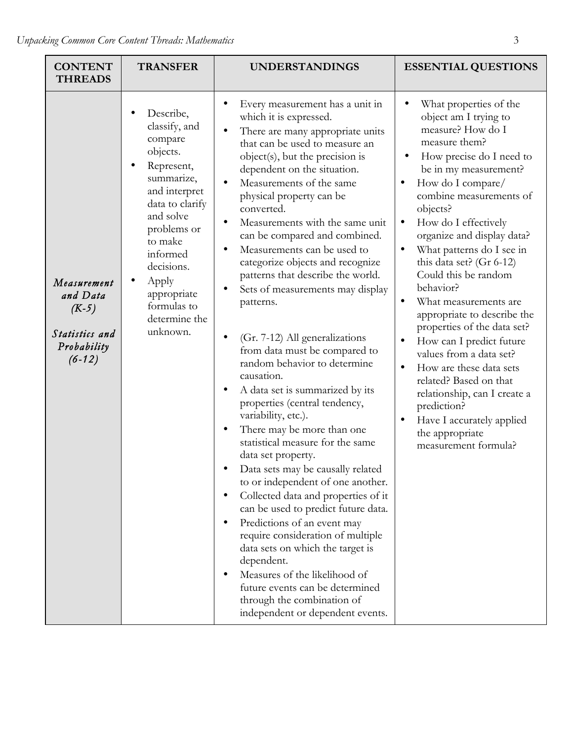| <b>CONTENT</b><br><b>THREADS</b>                                                | <b>TRANSFER</b>                                                                                                                                                                                                                                        | <b>UNDERSTANDINGS</b>                                                                                                                                                                                                                                                                                                                                                                                                                                                                                                                                                                                                                                                                                                                                                                                                                                                                                                                                                                                                                                                                                                                                                                                                                                               | <b>ESSENTIAL QUESTIONS</b>                                                                                                                                                                                                                                                                                                                                                                                                                                                                                                                                                                                                                                                                                                                                         |
|---------------------------------------------------------------------------------|--------------------------------------------------------------------------------------------------------------------------------------------------------------------------------------------------------------------------------------------------------|---------------------------------------------------------------------------------------------------------------------------------------------------------------------------------------------------------------------------------------------------------------------------------------------------------------------------------------------------------------------------------------------------------------------------------------------------------------------------------------------------------------------------------------------------------------------------------------------------------------------------------------------------------------------------------------------------------------------------------------------------------------------------------------------------------------------------------------------------------------------------------------------------------------------------------------------------------------------------------------------------------------------------------------------------------------------------------------------------------------------------------------------------------------------------------------------------------------------------------------------------------------------|--------------------------------------------------------------------------------------------------------------------------------------------------------------------------------------------------------------------------------------------------------------------------------------------------------------------------------------------------------------------------------------------------------------------------------------------------------------------------------------------------------------------------------------------------------------------------------------------------------------------------------------------------------------------------------------------------------------------------------------------------------------------|
| Measurement<br>and Data<br>$(K-5)$<br>Statistics and<br>Probability<br>$(6-12)$ | Describe,<br>classify, and<br>compare<br>objects.<br>Represent,<br>summarize,<br>and interpret<br>data to clarify<br>and solve<br>problems or<br>to make<br>informed<br>decisions.<br>Apply<br>appropriate<br>formulas to<br>determine the<br>unknown. | Every measurement has a unit in<br>which it is expressed.<br>There are many appropriate units<br>that can be used to measure an<br>object(s), but the precision is<br>dependent on the situation.<br>Measurements of the same<br>physical property can be<br>converted.<br>Measurements with the same unit<br>$\bullet$<br>can be compared and combined.<br>Measurements can be used to<br>categorize objects and recognize<br>patterns that describe the world.<br>Sets of measurements may display<br>patterns.<br>(Gr. 7-12) All generalizations<br>$\bullet$<br>from data must be compared to<br>random behavior to determine<br>causation.<br>A data set is summarized by its<br>properties (central tendency,<br>variability, etc.).<br>There may be more than one<br>statistical measure for the same<br>data set property.<br>Data sets may be causally related<br>to or independent of one another.<br>Collected data and properties of it<br>$\bullet$<br>can be used to predict future data.<br>Predictions of an event may<br>require consideration of multiple<br>data sets on which the target is<br>dependent.<br>Measures of the likelihood of<br>future events can be determined<br>through the combination of<br>independent or dependent events. | What properties of the<br>object am I trying to<br>measure? How do I<br>measure them?<br>How precise do I need to<br>be in my measurement?<br>How do I compare/<br>$\bullet$<br>combine measurements of<br>objects?<br>How do I effectively<br>$\bullet$<br>organize and display data?<br>What patterns do I see in<br>this data set? (Gr 6-12)<br>Could this be random<br>behavior?<br>What measurements are<br>$\bullet$<br>appropriate to describe the<br>properties of the data set?<br>How can I predict future<br>$\bullet$<br>values from a data set?<br>How are these data sets<br>$\bullet$<br>related? Based on that<br>relationship, can I create a<br>prediction?<br>$\bullet$<br>Have I accurately applied<br>the appropriate<br>measurement formula? |